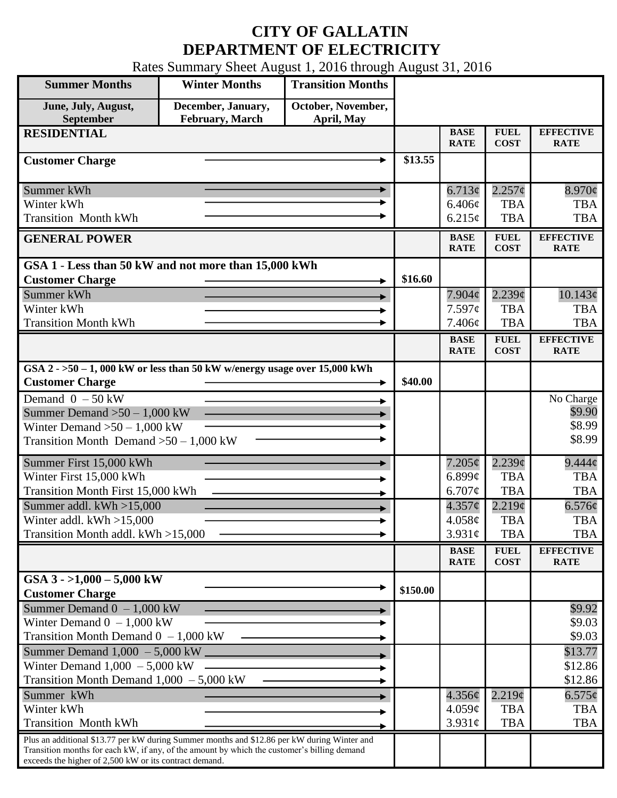## **CITY OF GALLATIN DEPARTMENT OF ELECTRICITY**

Rates Summary Sheet August 1, 2016 through August 31, 2016

| <b>Summer Months</b>                                                                                                                                  | <b>Winter Months</b>                  | <b>Transition Months</b>         |          |                            |                            |                                 |
|-------------------------------------------------------------------------------------------------------------------------------------------------------|---------------------------------------|----------------------------------|----------|----------------------------|----------------------------|---------------------------------|
| June, July, August,<br>September                                                                                                                      | December, January,<br>February, March | October, November,<br>April, May |          |                            |                            |                                 |
| <b>RESIDENTIAL</b>                                                                                                                                    |                                       |                                  |          | <b>BASE</b><br><b>RATE</b> | <b>FUEL</b><br><b>COST</b> | <b>EFFECTIVE</b><br><b>RATE</b> |
| <b>Customer Charge</b>                                                                                                                                |                                       |                                  | \$13.55  |                            |                            |                                 |
| Summer kWh                                                                                                                                            |                                       |                                  |          | 6.713¢                     | $2.257$ ¢                  | $8.970\phi$                     |
| Winter kWh                                                                                                                                            |                                       |                                  |          | 6.406¢                     | <b>TBA</b>                 | <b>TBA</b>                      |
| <b>Transition Month kWh</b>                                                                                                                           |                                       |                                  |          | 6.215¢                     | <b>TBA</b>                 | <b>TBA</b>                      |
| <b>GENERAL POWER</b>                                                                                                                                  |                                       |                                  |          | <b>BASE</b><br><b>RATE</b> | <b>FUEL</b><br><b>COST</b> | <b>EFFECTIVE</b><br><b>RATE</b> |
| GSA 1 - Less than 50 kW and not more than 15,000 kWh                                                                                                  |                                       |                                  |          |                            |                            |                                 |
| <b>Customer Charge</b>                                                                                                                                |                                       |                                  | \$16.60  |                            |                            |                                 |
| Summer kWh                                                                                                                                            |                                       |                                  |          | $7.904\phi$                | $2.239\mathcal{C}$         | 10.143¢                         |
| Winter kWh<br><b>Transition Month kWh</b>                                                                                                             |                                       |                                  |          | 7.597c                     | <b>TBA</b><br><b>TBA</b>   | <b>TBA</b><br><b>TBA</b>        |
|                                                                                                                                                       |                                       |                                  |          | 7.406¢                     |                            |                                 |
|                                                                                                                                                       |                                       |                                  |          | <b>BASE</b><br><b>RATE</b> | <b>FUEL</b><br><b>COST</b> | <b>EFFECTIVE</b><br><b>RATE</b> |
| GSA $2 - 50 - 1$ , 000 kW or less than 50 kW w/energy usage over 15,000 kWh<br><b>Customer Charge</b>                                                 |                                       |                                  | \$40.00  |                            |                            |                                 |
| Demand $0 - 50$ kW                                                                                                                                    |                                       |                                  |          |                            |                            | No Charge                       |
| Summer Demand $>50-1,000$ kW                                                                                                                          |                                       |                                  |          |                            |                            | \$9.90                          |
| Winter Demand $>50 - 1,000$ kW                                                                                                                        |                                       |                                  |          |                            |                            | \$8.99                          |
| Transition Month Demand $>50-1,000$ kW                                                                                                                |                                       |                                  |          |                            |                            | \$8.99                          |
| Summer First 15,000 kWh                                                                                                                               |                                       |                                  |          | 7.205¢                     | $2.239\mathcal{C}$         | $9.444\phi$                     |
| Winter First 15,000 kWh                                                                                                                               |                                       |                                  |          | $6.899\mathcal{C}$         | <b>TBA</b>                 | <b>TBA</b>                      |
| <b>Transition Month First 15,000 kWh</b>                                                                                                              |                                       |                                  |          | 6.707¢                     | <b>TBA</b>                 | <b>TBA</b>                      |
| Summer addl. $kWh > 15,000$                                                                                                                           |                                       |                                  |          | $4.357\phi$                | 2.219¢                     | 6.576¢                          |
| Winter addl. $kWh > 15,000$                                                                                                                           |                                       |                                  |          | 4.058¢                     | <b>TBA</b>                 | <b>TBA</b>                      |
| Transition Month addl. kWh >15,000                                                                                                                    |                                       |                                  |          | $3.931\phi$                | <b>TBA</b>                 | <b>TBA</b>                      |
|                                                                                                                                                       |                                       |                                  |          | <b>BASE</b><br><b>RATE</b> | <b>FUEL</b><br><b>COST</b> | <b>EFFECTIVE</b><br><b>RATE</b> |
| GSA $3 - 1,000 - 5,000$ kW                                                                                                                            |                                       |                                  |          |                            |                            |                                 |
| <b>Customer Charge</b>                                                                                                                                |                                       |                                  | \$150.00 |                            |                            |                                 |
| Summer Demand $0 - 1,000$ kW                                                                                                                          |                                       |                                  |          |                            |                            | \$9.92                          |
| Winter Demand $0 - 1,000$ kW                                                                                                                          |                                       |                                  |          |                            |                            | \$9.03                          |
| Transition Month Demand $0 - 1,000$ kW                                                                                                                |                                       |                                  |          |                            |                            | \$9.03                          |
| Summer Demand $1,000 - 5,000$ kW _____                                                                                                                |                                       |                                  |          |                            |                            | \$13.77                         |
| Winter Demand $1,000 - 5,000$ kW                                                                                                                      |                                       |                                  |          |                            |                            | \$12.86                         |
| Transition Month Demand $1,000 - 5,000$ kW<br>Summer kWh                                                                                              |                                       |                                  |          |                            |                            | \$12.86                         |
| Winter kWh                                                                                                                                            |                                       |                                  |          | $4.356\phi$<br>$4.059\ell$ | 2.219¢<br><b>TBA</b>       | $6.575\phi$<br><b>TBA</b>       |
| <b>Transition Month kWh</b>                                                                                                                           |                                       |                                  |          | 3.931¢                     | <b>TBA</b>                 | <b>TBA</b>                      |
| Plus an additional \$13.77 per kW during Summer months and \$12.86 per kW during Winter and                                                           |                                       |                                  |          |                            |                            |                                 |
| Transition months for each kW, if any, of the amount by which the customer's billing demand<br>exceeds the higher of 2,500 kW or its contract demand. |                                       |                                  |          |                            |                            |                                 |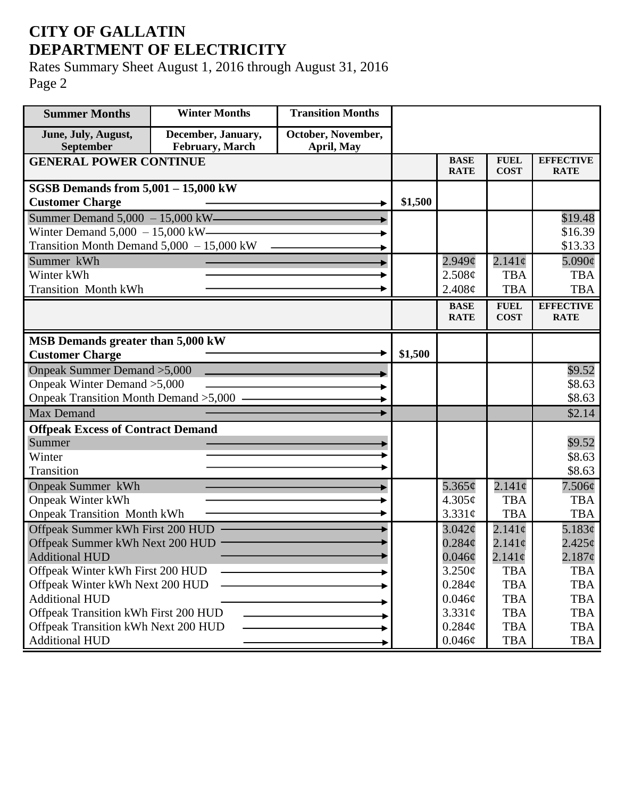## **CITY OF GALLATIN DEPARTMENT OF ELECTRICITY**

Rates Summary Sheet August 1, 2016 through August 31, 2016 Page 2

| <b>Summer Months</b>                       | <b>Winter Months</b>                  | <b>Transition Months</b>         |         |                            |                            |                                 |
|--------------------------------------------|---------------------------------------|----------------------------------|---------|----------------------------|----------------------------|---------------------------------|
| June, July, August,<br>September           | December, January,<br>February, March | October, November,<br>April, May |         |                            |                            |                                 |
| <b>GENERAL POWER CONTINUE</b>              |                                       |                                  |         | <b>BASE</b><br><b>RATE</b> | <b>FUEL</b><br><b>COST</b> | <b>EFFECTIVE</b><br><b>RATE</b> |
| <b>SGSB Demands from 5,001 - 15,000 kW</b> |                                       |                                  |         |                            |                            |                                 |
| <b>Customer Charge</b>                     |                                       |                                  | \$1,500 |                            |                            |                                 |
| Summer Demand $5,000 - 15,000$ kW-         |                                       |                                  |         |                            |                            | \$19.48                         |
| Winter Demand $5,000 - 15,000$ kW-         |                                       |                                  |         |                            |                            | \$16.39                         |
| Transition Month Demand 5,000 - 15,000 kW  |                                       |                                  |         |                            |                            | \$13.33                         |
| Summer kWh                                 |                                       |                                  |         | $2.949\mathcal{C}$         | $2.141\phi$                | $5.090\phi$                     |
| Winter kWh                                 |                                       |                                  |         | 2.508¢                     | <b>TBA</b>                 | <b>TBA</b>                      |
| <b>Transition Month kWh</b>                |                                       |                                  |         | 2.408¢                     | <b>TBA</b>                 | <b>TBA</b>                      |
|                                            |                                       |                                  |         | <b>BASE</b>                | <b>FUEL</b>                | <b>EFFECTIVE</b>                |
|                                            |                                       |                                  |         | <b>RATE</b>                | <b>COST</b>                | <b>RATE</b>                     |
| MSB Demands greater than 5,000 kW          |                                       |                                  |         |                            |                            |                                 |
| <b>Customer Charge</b>                     |                                       |                                  | \$1,500 |                            |                            |                                 |
| Onpeak Summer Demand > 5,000               |                                       |                                  |         |                            |                            | \$9.52                          |
| Onpeak Winter Demand > 5,000               |                                       |                                  |         |                            |                            | \$8.63                          |
| Onpeak Transition Month Demand > 5,000 -   |                                       |                                  |         |                            |                            | \$8.63                          |
| <b>Max Demand</b>                          |                                       |                                  |         |                            |                            | \$2.14                          |
| <b>Offpeak Excess of Contract Demand</b>   |                                       |                                  |         |                            |                            |                                 |
| Summer                                     |                                       |                                  |         |                            |                            | \$9.52                          |
| Winter                                     |                                       |                                  |         |                            |                            | \$8.63                          |
| Transition                                 |                                       |                                  |         |                            |                            | \$8.63                          |
| <b>Onpeak Summer kWh</b>                   |                                       |                                  |         | 5.365¢                     | $2.141\phi$                | $7.506\phi$                     |
| <b>Onpeak Winter kWh</b>                   |                                       |                                  |         | 4.305¢                     | <b>TBA</b>                 | <b>TBA</b>                      |
| <b>Onpeak Transition Month kWh</b>         |                                       |                                  |         | 3.331c                     | <b>TBA</b>                 | <b>TBA</b>                      |
| Offpeak Summer kWh First 200 HUD           |                                       |                                  |         | $3.042\mathcal{C}$         | $2.141\phi$                | 5.183¢                          |
| Offpeak Summer kWh Next 200 HUD            |                                       |                                  |         | $0.284\mathcal{C}$         | $2.141\phi$                | $2.425\epsilon$                 |
| <b>Additional HUD</b>                      |                                       |                                  |         | $0.046\phi$                | $2.141\phi$                | $2.187$ ¢                       |
| Offpeak Winter kWh First 200 HUD           |                                       |                                  |         | $3.250\phi$                | <b>TBA</b>                 | <b>TBA</b>                      |
| Offpeak Winter kWh Next 200 HUD            |                                       |                                  |         | $0.284\phi$                | <b>TBA</b>                 | <b>TBA</b>                      |
| <b>Additional HUD</b>                      |                                       |                                  |         | $0.046\phi$                | <b>TBA</b>                 | <b>TBA</b>                      |
| Offpeak Transition kWh First 200 HUD       |                                       |                                  |         | 3.331¢                     | <b>TBA</b>                 | <b>TBA</b>                      |
| Offpeak Transition kWh Next 200 HUD        |                                       |                                  |         | $0.284\mathcal{C}$         | <b>TBA</b>                 | <b>TBA</b>                      |
| <b>Additional HUD</b>                      |                                       |                                  |         | $0.046\phi$                | <b>TBA</b>                 | TBA                             |